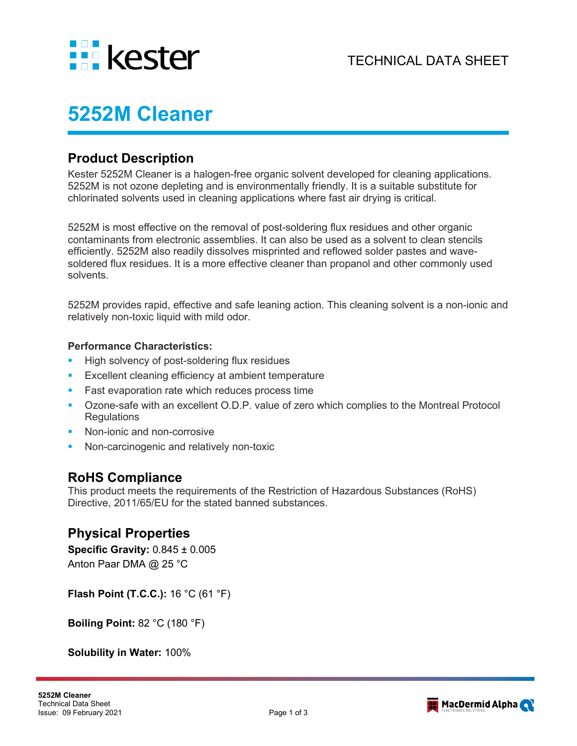

# **5252M Cleaner**

## **Product Description**

Kester 5252M Cleaner is a halogen-free organic solvent developed for cleaning applications. 5252M is not ozone depleting and is environmentally friendly. It is a suitable substitute for chlorinated solvents used in cleaning applications where fast air drying is critical.

5252M is most effective on the removal of post-soldering flux residues and other organic contaminants from electronic assemblies. It can also be used as a solvent to clean stencils efficiently. 5252M also readily dissolves misprinted and reflowed solder pastes and wavesoldered flux residues. It is a more effective cleaner than propanol and other commonly used solvents.

5252M provides rapid, effective and safe leaning action. This cleaning solvent is a non-ionic and relatively non-toxic liquid with mild odor.

#### **Performance Characteristics:**

- High solvency of post-soldering flux residues
- **Excellent cleaning efficiency at ambient temperature**
- Fast evaporation rate which reduces process time
- Ozone-safe with an excellent O.D.P. value of zero which complies to the Montreal Protocol **Regulations**
- Non-ionic and non-corrosive
- Non-carcinogenic and relatively non-toxic

# **RoHS Compliance**

This product meets the requirements of the Restriction of Hazardous Substances (RoHS) Directive, 2011/65/EU for the stated banned substances.

## **Physical Properties**

**Specific Gravity:** 0.845 ± 0.005 Anton Paar DMA @ 25 °C

**Flash Point (T.C.C.):** 16 °C (61 °F)

**Boiling Point:** 82 °C (180 °F)

**Solubility in Water:** 100%

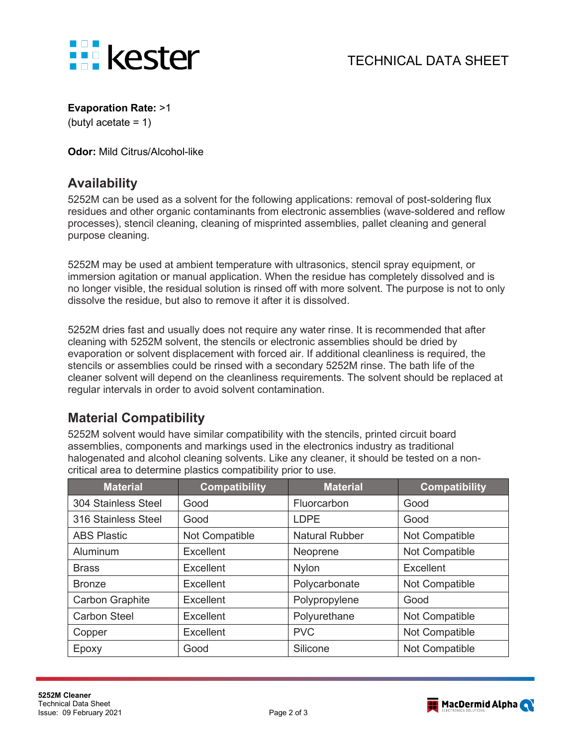

#### **Evaporation Rate:** >1

(butyl acetate = 1)

**Odor:** Mild Citrus/Alcohol-like

# **Availability**

5252M can be used as a solvent for the following applications: removal of post-soldering flux residues and other organic contaminants from electronic assemblies (wave-soldered and reflow processes), stencil cleaning, cleaning of misprinted assemblies, pallet cleaning and general purpose cleaning.

5252M may be used at ambient temperature with ultrasonics, stencil spray equipment, or immersion agitation or manual application. When the residue has completely dissolved and is no longer visible, the residual solution is rinsed off with more solvent. The purpose is not to only dissolve the residue, but also to remove it after it is dissolved.

5252M dries fast and usually does not require any water rinse. It is recommended that after cleaning with 5252M solvent, the stencils or electronic assemblies should be dried by evaporation or solvent displacement with forced air. If additional cleanliness is required, the stencils or assemblies could be rinsed with a secondary 5252M rinse. The bath life of the cleaner solvent will depend on the cleanliness requirements. The solvent should be replaced at regular intervals in order to avoid solvent contamination.

# **Material Compatibility**

5252M solvent would have similar compatibility with the stencils, printed circuit board assemblies, components and markings used in the electronics industry as traditional halogenated and alcohol cleaning solvents. Like any cleaner, it should be tested on a noncritical area to determine plastics compatibility prior to use.

| <b>Material</b>        | <b>Compatibility</b> | <b>Material</b>       | <b>Compatibility</b> |
|------------------------|----------------------|-----------------------|----------------------|
| 304 Stainless Steel    | Good                 | Fluorcarbon           | Good                 |
| 316 Stainless Steel    | Good                 | <b>LDPE</b>           | Good                 |
| <b>ABS Plastic</b>     | Not Compatible       | <b>Natural Rubber</b> | Not Compatible       |
| Aluminum               | <b>Excellent</b>     | Neoprene              | Not Compatible       |
| <b>Brass</b>           | Excellent            | <b>Nylon</b>          | Excellent            |
| <b>Bronze</b>          | <b>Excellent</b>     | Polycarbonate         | Not Compatible       |
| <b>Carbon Graphite</b> | Excellent            | Polypropylene         | Good                 |
| <b>Carbon Steel</b>    | <b>Excellent</b>     | Polyurethane          | Not Compatible       |
| Copper                 | <b>Excellent</b>     | <b>PVC</b>            | Not Compatible       |
| Epoxy                  | Good                 | Silicone              | Not Compatible       |